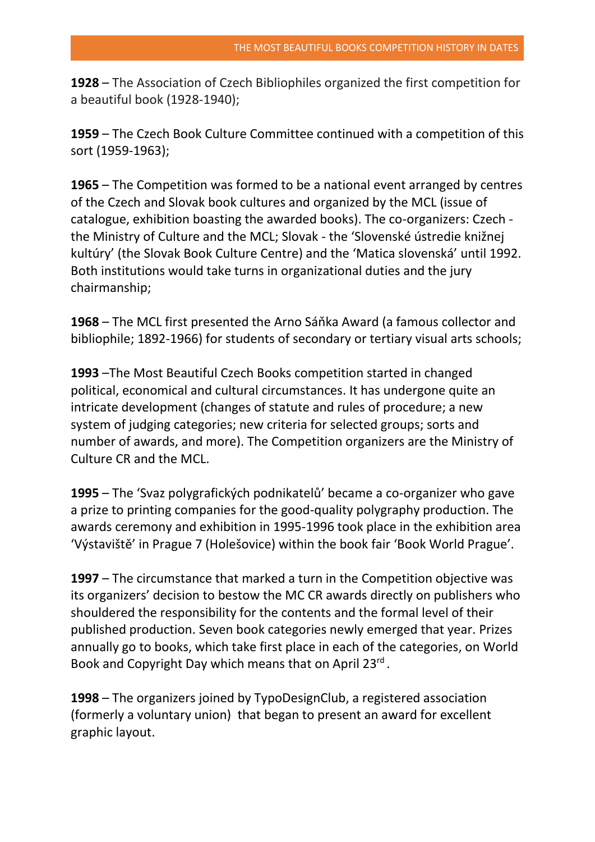**1928** – The Association of Czech Bibliophiles organized the first competition for a beautiful book (1928-1940);

**1959** – The Czech Book Culture Committee continued with a competition of this sort (1959-1963);

**1965** – The Competition was formed to be a national event arranged by centres of the Czech and Slovak book cultures and organized by the MCL (issue of catalogue, exhibition boasting the awarded books). The co-organizers: Czech the Ministry of Culture and the MCL; Slovak - the 'Slovenské ústredie knižnej kultúry' (the Slovak Book Culture Centre) and the 'Matica slovenská' until 1992. Both institutions would take turns in organizational duties and the jury chairmanship;

**1968** – The MCL first presented the Arno Sáňka Award (a famous collector and bibliophile; 1892-1966) for students of secondary or tertiary visual arts schools;

**1993** –The Most Beautiful Czech Books competition started in changed political, economical and cultural circumstances. It has undergone quite an intricate development (changes of statute and rules of procedure; a new system of judging categories; new criteria for selected groups; sorts and number of awards, and more). The Competition organizers are the Ministry of Culture CR and the MCL.

**1995** – The 'Svaz polygrafických podnikatelů' became a co-organizer who gave a prize to printing companies for the good-quality polygraphy production. The awards ceremony and exhibition in 1995-1996 took place in the exhibition area 'Výstaviště' in Prague 7 (Holešovice) within the book fair 'Book World Prague'.

**1997** – The circumstance that marked a turn in the Competition objective was its organizers' decision to bestow the MC CR awards directly on publishers who shouldered the responsibility for the contents and the formal level of their published production. Seven book categories newly emerged that year. Prizes annually go to books, which take first place in each of the categories, on World Book and Copyright Day which means that on April 23rd.

**1998** – The organizers joined by TypoDesignClub, a registered association (formerly a voluntary union) that began to present an award for excellent graphic layout.